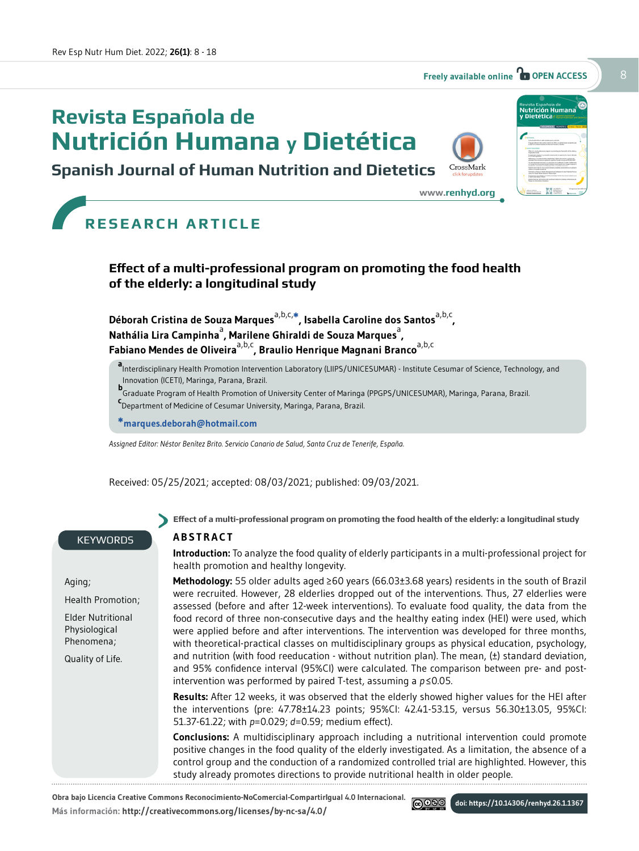# **Revista Española de Nutrición Humana y Dietética**





**<www.renhyd.org>**

| <b>Nutrición Humana</b>                                                                                                                                                                             |
|-----------------------------------------------------------------------------------------------------------------------------------------------------------------------------------------------------|
| y Dietética                                                                                                                                                                                         |
|                                                                                                                                                                                                     |
| <b>CREADS Concretions 2011</b><br>n                                                                                                                                                                 |
|                                                                                                                                                                                                     |
|                                                                                                                                                                                                     |
|                                                                                                                                                                                                     |
| THE LOPES SERVE ARE STANDARD                                                                                                                                                                        |
|                                                                                                                                                                                                     |
| <b>Short all committee</b><br><b>CA CONTROL E</b>                                                                                                                                                   |
| <b><i><u>AMARCA</u></i></b><br><b><i><u><i>Ingenie's</i></u></i></b> Harry II                                                                                                                       |
| A country and they                                                                                                                                                                                  |
| -------                                                                                                                                                                                             |
| THE REVOLUTION NUMBER IS NO ORDERED FOR A REPORT OF LINES FROM HIM.<br>a diversida businessa delegativada markador la decisional de la chia<br>challedge advertising in Wayness Title at stickly on |
| <b>CONTRACTOR</b>                                                                                                                                                                                   |
| well as a financial chain, but down it and<br>you to have more turning think                                                                                                                        |
| <b>STATISTICS AND CONSULTANCE</b><br>a result and choice of Boots                                                                                                                                   |
| <b>Subscription of the American Ave</b><br><b>Road of Alberta Romano</b>                                                                                                                            |
|                                                                                                                                                                                                     |
|                                                                                                                                                                                                     |

# **RESEARCH ARTICLE**

### **Effect of a multi-professional program on promoting the food health of the elderly: a longitudinal study**

Déborah Cristina de Souza Marques<sup>a,b,c,\*</sup>, Isabella Caroline dos Santos<sup>a,b,c</sup>, Nathália Lira Campinha<sup>a</sup>, Marilene Ghiraldi de Souza Marques<sup>a</sup>, **Fabiano Mendes de Oliveira**a,b,c**, Braulio Henrique Magnani Branco**a,b,c

**a** Interdisciplinary Health Promotion Intervention Laboratory (LIIPS/UNICESUMAR) - Institute Cesumar of Science, Technology, and Innovation (ICETI), Maringa, Parana, Brazil.

**b**<br>Craduate Program of Health Promotion of University Center of Maringa (PPGPS/UNICESUMAR), Maringa, Parana, Brazil.<br>Speceptoset of Madisias of Casumas University Marinas, Person, Prazil.

Department of Medicine of Cesumar University, Maringa, Parana, Brazil.

**\*marques.deborah@hotmail.com** 

*Assigned Editor: Néstor Benítez Brito. Servicio Canario de Salud, Santa Cruz de Tenerife, España.* 

Received: 05/25/2021; accepted: 08/03/2021; published: 09/03/2021.

#### **KEYWORDS**

Aging;

Health Promotion;

Elder Nutritional Physiological Phenomena;

Quality of Life.

**Effect of a multi-professional program on promoting the food health of the elderly: a longitudinal study**

#### **ABSTRACT**

**Introduction:** To analyze the food quality of elderly participants in a multi-professional project for health promotion and healthy longevity.

**Methodology:** 55 older adults aged ≥60 years (66.03±3.68 years) residents in the south of Brazil were recruited. However, 28 elderlies dropped out of the interventions. Thus, 27 elderlies were assessed (before and after 12-week interventions). To evaluate food quality, the data from the food record of three non-consecutive days and the healthy eating index (HEI) were used, which were applied before and after interventions. The intervention was developed for three months, with theoretical-practical classes on multidisciplinary groups as physical education, psychology, and nutrition (with food reeducation - without nutrition plan). The mean, (±) standard deviation, and 95% confidence interval (95%CI) were calculated. The comparison between pre- and postintervention was performed by paired T-test, assuming a *p* ≤0.05.

**Results:** After 12 weeks, it was observed that the elderly showed higher values for the HEI after the interventions (pre: 47.78±14.23 points; 95%CI: 42.41-53.15, versus 56.30±13.05, 95%CI: 51.37-61.22; with *p*=0.029; *d*=0.59; medium effect).

**Conclusions:** A multidisciplinary approach including a nutritional intervention could promote positive changes in the food quality of the elderly investigated. As a limitation, the absence of a control group and the conduction of a randomized controlled trial are highlighted. However, this study already promotes directions to provide nutritional health in older people.

ெை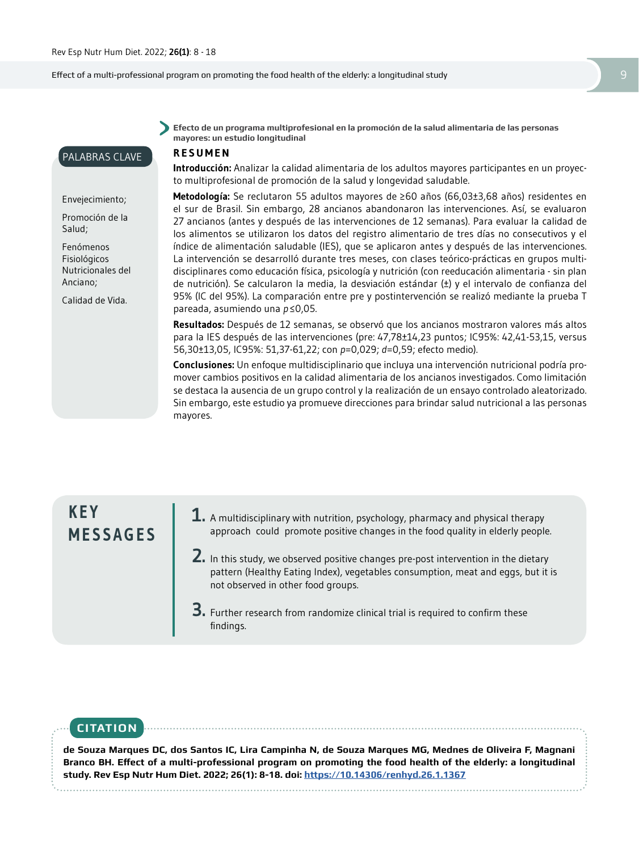PALABRAS CLAVE

Envejecimiento; Promoción de la

Calidad de Vida.

Salud; Fenómenos Fisiológicos Nutricionales del Anciano;

Effect of a multi-professional program on promoting the food health of the elderly: a longitudinal study 9

**Efecto de un programa multiprofesional en la promoción de la salud alimentaria de las personas mayores: un estudio longitudinal** 

#### **RESUMEN**

**Introducción:** Analizar la calidad alimentaria de los adultos mayores participantes en un proyecto multiprofesional de promoción de la salud y longevidad saludable.

**Metodología:** Se reclutaron 55 adultos mayores de ≥60 años (66,03±3,68 años) residentes en el sur de Brasil. Sin embargo, 28 ancianos abandonaron las intervenciones. Así, se evaluaron 27 ancianos (antes y después de las intervenciones de 12 semanas). Para evaluar la calidad de los alimentos se utilizaron los datos del registro alimentario de tres días no consecutivos y el índice de alimentación saludable (IES), que se aplicaron antes y después de las intervenciones. La intervención se desarrolló durante tres meses, con clases teórico-prácticas en grupos multidisciplinares como educación física, psicología y nutrición (con reeducación alimentaria - sin plan de nutrición). Se calcularon la media, la desviación estándar  $(\pm)$  y el intervalo de confianza del 95% (IC del 95%). La comparación entre pre y postintervención se realizó mediante la prueba T pareada, asumiendo una *p* ≤0,05.

**Resultados:** Después de 12 semanas, se observó que los ancianos mostraron valores más altos para la IES después de las intervenciones (pre: 47,78±14,23 puntos; IC95%: 42,41-53,15, versus 56,30±13,05, IC95%: 51,37-61,22; con *p*=0,029; *d*=0,59; efecto medio).

**Conclusiones:** Un enfoque multidisciplinario que incluya una intervención nutricional podría promover cambios positivos en la calidad alimentaria de los ancianos investigados. Como limitación se destaca la ausencia de un grupo control y la realización de un ensayo controlado aleatorizado. Sin embargo, este estudio ya promueve direcciones para brindar salud nutricional a las personas mayores.

## **K E Y MESSAGES**

- **1.** A multidisciplinary with nutrition, psychology, pharmacy and physical therapy approach could promote positive changes in the food quality in elderly people.
- **2.** In this study, we observed positive changes pre-post intervention in the dietary pattern (Healthy Eating Index), vegetables consumption, meat and eggs, but it is not observed in other food groups.

**3.** Further research from randomize clinical trial is required to confirm these findings.

## **CITATION**

**de Souza Marques DC, dos Santos IC, Lira Campinha N, de Souza Marques MG, Mednes de Oliveira F, Magnani Branco BH. Effect of a multi-professional program on promoting the food health of the elderly: a longitudinal study. Rev Esp Nutr Hum Diet. 2022; 26(1): 8-18. doi: https://10.14306/renhyd.26.1.1367**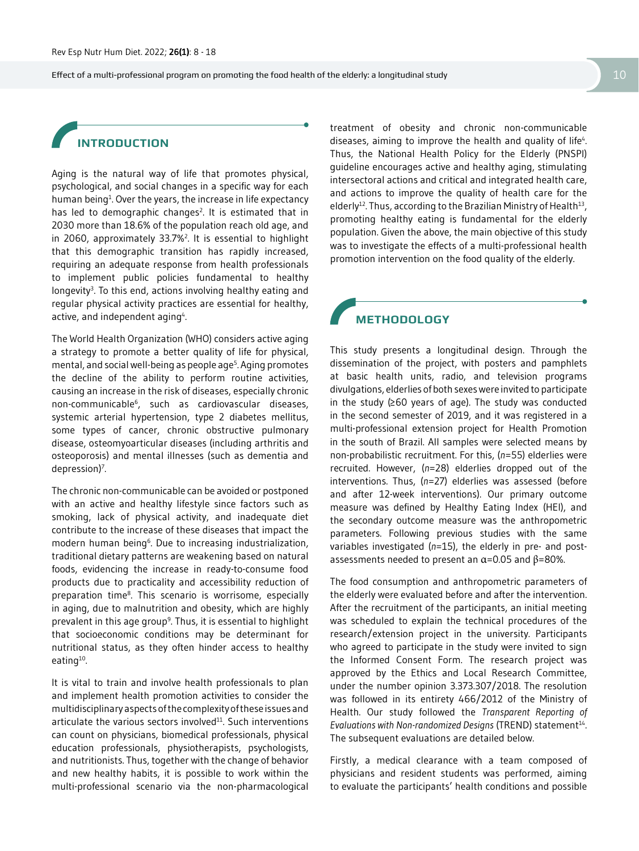Effect of a multi-professional program on promoting the food health of the elderly: a longitudinal study 10

## **INTRODUCTION**

Aging is the natural way of life that promotes physical, psychological, and social changes in a specific way for each human being<sup>1</sup>. Over the years, the increase in life expectancy has led to demographic changes<sup>2</sup>. It is estimated that in 2030 more than 18.6% of the population reach old age, and in 2060, approximately 33.7%2 . It is essential to highlight that this demographic transition has rapidly increased, requiring an adequate response from health professionals to implement public policies fundamental to healthy longevity<sup>3</sup>. To this end, actions involving healthy eating and regular physical activity practices are essential for healthy, active, and independent aging<sup>4</sup>. .

The World Health Organization (WHO) considers active aging a strategy to promote a better quality of life for physical, mental, and social well-being as people age<sup>5</sup>. Aging promotes the decline of the ability to perform routine activities, causing an increase in the risk of diseases, especially chronic non-communicable6, such as cardiovascular diseases, systemic arterial hypertension, type 2 diabetes mellitus, some types of cancer, chronic obstructive pulmonary disease, osteomyoarticular diseases (including arthritis and osteoporosis) and mental illnesses (such as dementia and depression)<sup>7</sup>. .

The chronic non-communicable can be avoided or postponed with an active and healthy lifestyle since factors such as smoking, lack of physical activity, and inadequate diet contribute to the increase of these diseases that impact the modern human being<sup>6</sup>. Due to increasing industrialization, traditional dietary patterns are weakening based on natural foods, evidencing the increase in ready-to-consume food products due to practicality and accessibility reduction of preparation time8. This scenario is worrisome, especially in aging, due to malnutrition and obesity, which are highly prevalent in this age group<sup>9</sup>. Thus, it is essential to highlight that socioeconomic conditions may be determinant for nutritional status, as they often hinder access to healthy eating $10$ .

It is vital to train and involve health professionals to plan and implement health promotion activities to consider the multidisciplinary aspects of the complexity of these issues and articulate the various sectors involved $11$ . Such interventions can count on physicians, biomedical professionals, physical education professionals, physiotherapists, psychologists, and nutritionists. Thus, together with the change of behavior and new healthy habits, it is possible to work within the multi-professional scenario via the non-pharmacological

treatment of obesity and chronic non-communicable diseases, aiming to improve the health and quality of life<sup>4</sup>. Thus, the National Health Policy for the Elderly (PNSPI) guideline encourages active and healthy aging, stimulating intersectoral actions and critical and integrated health care, and actions to improve the quality of health care for the elderly<sup>12</sup>. Thus, according to the Brazilian Ministry of Health<sup>13</sup>, promoting healthy eating is fundamental for the elderly population. Given the above, the main objective of this study was to investigate the effects of a multi-professional health promotion intervention on the food quality of the elderly.

### **METHODOLOGY**

This study presents a longitudinal design. Through the dissemination of the project, with posters and pamphlets at basic health units, radio, and television programs divulgations, elderlies of both sexes were invited to participate in the study (≥60 years of age). The study was conducted in the second semester of 2019, and it was registered in a multi-professional extension project for Health Promotion in the south of Brazil. All samples were selected means by non-probabilistic recruitment. For this, (*n*=55) elderlies were recruited. However, (*n*=28) elderlies dropped out of the interventions. Thus, (*n*=27) elderlies was assessed (before and after 12-week interventions). Our primary outcome measure was defined by Healthy Eating Index (HEI), and the secondary outcome measure was the anthropometric parameters. Following previous studies with the same variables investigated (*n*=15), the elderly in pre- and postassessments needed to present an  $\alpha$ =0.05 and  $\beta$ =80%.

The food consumption and anthropometric parameters of the elderly were evaluated before and after the intervention. After the recruitment of the participants, an initial meeting was scheduled to explain the technical procedures of the research/extension project in the university. Participants who agreed to participate in the study were invited to sign the Informed Consent Form. The research project was approved by the Ethics and Local Research Committee, under the number opinion 3.373.307/2018. The resolution was followed in its entirety 466/2012 of the Ministry of Health. Our study followed the *Transparent Reporting of Evaluations with Non-randomized Designs* (TREND) statement<sup>14</sup>. The subsequent evaluations are detailed below.

Firstly, a medical clearance with a team composed of physicians and resident students was performed, aiming to evaluate the participants' health conditions and possible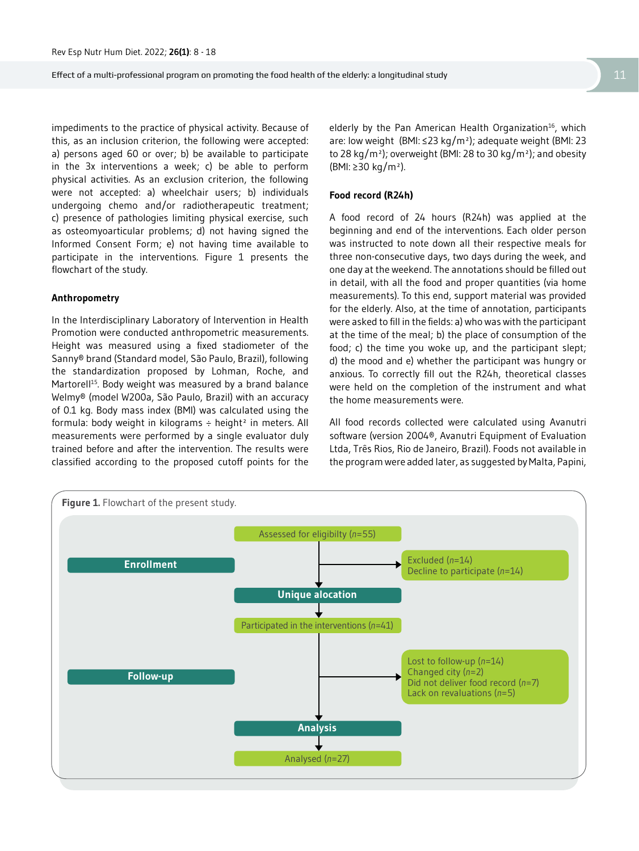impediments to the practice of physical activity. Because of this, as an inclusion criterion, the following were accepted: a) persons aged 60 or over; b) be available to participate in the 3x interventions a week; c) be able to perform physical activities. As an exclusion criterion, the following were not accepted: a) wheelchair users; b) individuals undergoing chemo and/or radiotherapeutic treatment; c) presence of pathologies limiting physical exercise, such as osteomyoarticular problems; d) not having signed the Informed Consent Form; e) not having time available to participate in the interventions. Figure 1 presents the flowchart of the study.

#### **Anthropometry**

In the Interdisciplinary Laboratory of Intervention in Health Promotion were conducted anthropometric measurements. Height was measured using a fixed stadiometer of the Sanny® brand (Standard model, São Paulo, Brazil), following the standardization proposed by Lohman, Roche, and Martorell<sup>15</sup>. Body weight was measured by a brand balance Welmy® (model W200a, São Paulo, Brazil) with an accuracy of 0.1 kg. Body mass index (BMI) was calculated using the formula: body weight in kilograms  $\div$  height<sup>2</sup> in meters. All measurements were performed by a single evaluator duly trained before and after the intervention. The results were classified according to the proposed cutoff points for the

elderly by the Pan American Health Organization<sup>16</sup>, which are: low weight (BMI: ≤23 kg/m²); adequate weight (BMI: 23 to 28 kg/m<sup>2</sup>); overweight (BMI: 28 to 30 kg/m<sup>2</sup>); and obesity (BMI: ≥30 kg/m²).

#### **Food record (R24h)**

A food record of 24 hours (R24h) was applied at the beginning and end of the interventions. Each older person was instructed to note down all their respective meals for three non-consecutive days, two days during the week, and one day at the weekend. The annotations should be filled out in detail, with all the food and proper quantities (via home measurements). To this end, support material was provided for the elderly. Also, at the time of annotation, participants were asked to fill in the fields: a) who was with the participant at the time of the meal; b) the place of consumption of the food; c) the time you woke up, and the participant slept; d) the mood and e) whether the participant was hungry or anxious. To correctly fill out the R24h, theoretical classes were held on the completion of the instrument and what the home measurements were.

All food records collected were calculated using Avanutri software (version 2004®, Avanutri Equipment of Evaluation Ltda, Três Rios, Rio de Janeiro, Brazil). Foods not available in the program were added later, as suggested by Malta, Papini,

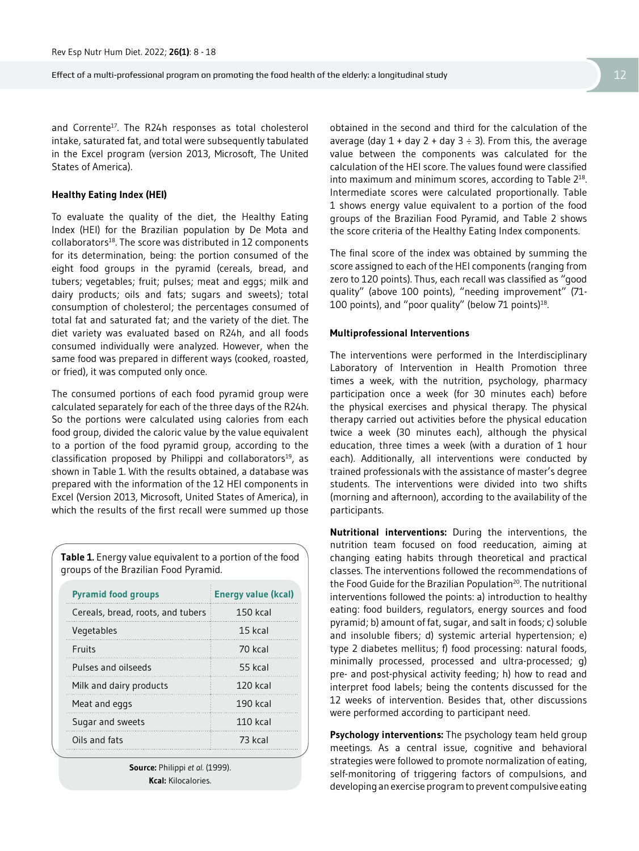Effect of a multi-professional program on promoting the food health of the elderly: a longitudinal study 12 12

and Corrente<sup>17</sup>. The R24h responses as total cholesterol intake, saturated fat, and total were subsequently tabulated in the Excel program (version 2013, Microsoft, The United States of America).

#### **Healthy Eating Index (HEI)**

To evaluate the quality of the diet, the Healthy Eating Index (HEI) for the Brazilian population by De Mota and collaborators<sup>18</sup>. The score was distributed in 12 components for its determination, being: the portion consumed of the eight food groups in the pyramid (cereals, bread, and tubers; vegetables; fruit; pulses; meat and eggs; milk and dairy products; oils and fats; sugars and sweets); total consumption of cholesterol; the percentages consumed of total fat and saturated fat; and the variety of the diet. The diet variety was evaluated based on R24h, and all foods consumed individually were analyzed. However, when the same food was prepared in different ways (cooked, roasted, or fried), it was computed only once.

The consumed portions of each food pyramid group were calculated separately for each of the three days of the R24h. So the portions were calculated using calories from each food group, divided the caloric value by the value equivalent to a portion of the food pyramid group, according to the classification proposed by Philippi and collaborators<sup>19</sup>, as shown in Table 1. With the results obtained, a database was prepared with the information of the 12 HEI components in Excel (Version 2013, Microsoft, United States of America), in which the results of the first recall were summed up those

**Table 1.** Energy value equivalent to a portion of the food groups of the Brazilian Food Pyramid.

| <b>Pyramid food groups</b>        | <b>Energy value (kcal)</b> |  |  |
|-----------------------------------|----------------------------|--|--|
| Cereals, bread, roots, and tubers | $150$ kcal                 |  |  |
| Vegetables                        | 15 kcal                    |  |  |
| Fruits                            | 70 kral                    |  |  |
| Pulses and oilseeds               | 55 kcal                    |  |  |
| Milk and dairy products           | $120$ kcal                 |  |  |
| Meat and eggs                     | 190 kcal                   |  |  |
| Sugar and sweets                  | $110$ kcal                 |  |  |
| Oils and fats                     | 73 kcal                    |  |  |

**Source:** Philippi *et al.* (1999). **Kcal:** Kilocalories.

obtained in the second and third for the calculation of the average (day  $1 + day 2 + day 3 \div 3$ ). From this, the average value between the components was calculated for the calculation of the HEI score. The values found were classified into maximum and minimum scores, according to Table 218. Intermediate scores were calculated proportionally. Table 1 shows energy value equivalent to a portion of the food groups of the Brazilian Food Pyramid, and Table 2 shows the score criteria of the Healthy Eating Index components.

The final score of the index was obtained by summing the score assigned to each of the HEI components (ranging from zero to 120 points). Thus, each recall was classified as "good quality" (above 100 points), "needing improvement" (71- 100 points), and "poor quality" (below 71 points)<sup>18</sup>.

#### **Multiprofessional Interventions**

The interventions were performed in the Interdisciplinary Laboratory of Intervention in Health Promotion three times a week, with the nutrition, psychology, pharmacy participation once a week (for 30 minutes each) before the physical exercises and physical therapy. The physical therapy carried out activities before the physical education twice a week (30 minutes each), although the physical education, three times a week (with a duration of 1 hour each). Additionally, all interventions were conducted by trained professionals with the assistance of master's degree students. The interventions were divided into two shifts (morning and afternoon), according to the availability of the participants.

**Nutritional interventions:** During the interventions, the nutrition team focused on food reeducation, aiming at changing eating habits through theoretical and practical classes. The interventions followed the recommendations of the Food Guide for the Brazilian Population<sup>20</sup>. The nutritional interventions followed the points: a) introduction to healthy eating: food builders, regulators, energy sources and food pyramid; b) amount of fat, sugar, and salt in foods; c) soluble and insoluble fibers; d) systemic arterial hypertension; e) type 2 diabetes mellitus; f) food processing: natural foods, minimally processed, processed and ultra-processed; g) pre- and post-physical activity feeding; h) how to read and interpret food labels; being the contents discussed for the 12 weeks of intervention. Besides that, other discussions were performed according to participant need.

**Psychology interventions:** The psychology team held group meetings. As a central issue, cognitive and behavioral strategies were followed to promote normalization of eating, self-monitoring of triggering factors of compulsions, and developing an exercise program to prevent compulsive eating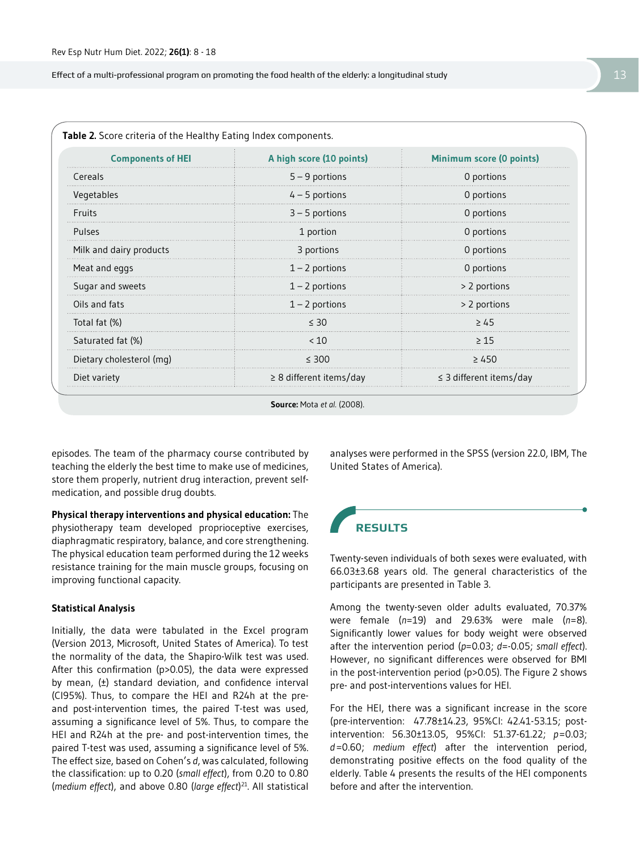Effect of a multi-professional program on promoting the food health of the elderly: a longitudinal study 13 and 13 and 13 and 13 and 13 and 13 and 13 and 13 and 13 and 13 and 13 and 13 and 13 and 13 and 13 and 13 and 13 an

| <b>Components of HEI</b> | A high score (10 points)     | <b>Minimum score (0 points)</b> |  |
|--------------------------|------------------------------|---------------------------------|--|
| Cereals                  | $5 - 9$ portions             | 0 portions                      |  |
| Vegetables               | $4 - 5$ portions             | 0 portions                      |  |
| <b>Fruits</b>            | $3 - 5$ portions             | 0 portions                      |  |
| Pulses                   | 1 portion                    | 0 portions                      |  |
| Milk and dairy products  | 3 portions                   | 0 portions                      |  |
| Meat and eggs            | $1 - 2$ portions             | 0 portions                      |  |
| Sugar and sweets         | $1 - 2$ portions             | > 2 portions                    |  |
| Oils and fats            | $1 - 2$ portions             | > 2 portions                    |  |
| Total fat (%)            | < 30                         | $\geq 45$                       |  |
| Saturated fat (%)        | < 10                         | >15                             |  |
| Dietary cholesterol (mg) | $\leq 300$                   | $\geq 450$                      |  |
| Diet variety             | $\geq$ 8 different items/day | $\leq$ 3 different items/day    |  |

**Source:** Mota *et al.* (2008).

episodes. The team of the pharmacy course contributed by teaching the elderly the best time to make use of medicines, store them properly, nutrient drug interaction, prevent selfmedication, and possible drug doubts.

**Physical therapy interventions and physical education:** The physiotherapy team developed proprioceptive exercises, diaphragmatic respiratory, balance, and core strengthening. The physical education team performed during the 12 weeks resistance training for the main muscle groups, focusing on improving functional capacity.

#### **Statistical Analysis**

Initially, the data were tabulated in the Excel program (Version 2013, Microsoft, United States of America). To test the normality of the data, the Shapiro-Wilk test was used. After this confirmation (p>0.05), the data were expressed by mean, (±) standard deviation, and confidence interval (CI95%). Thus, to compare the HEI and R24h at the preand post-intervention times, the paired T-test was used, assuming a significance level of 5%. Thus, to compare the HEI and R24h at the pre- and post-intervention times, the paired T-test was used, assuming a significance level of 5%. The effect size, based on Cohen's *d*, was calculated, following the classification: up to 0.20 (*small effect*), from 0.20 to 0.80 (*medium effect*), and above 0.80 (*large effect*) 21. All statistical analyses were performed in the SPSS (version 22.0, IBM, The United States of America).

## **RESULTS**

Twenty-seven individuals of both sexes were evaluated, with 66.03±3.68 years old. The general characteristics of the participants are presented in Table 3.

Among the twenty-seven older adults evaluated, 70.37% were female (*n*=19) and 29.63% were male (*n*=8). Significantly lower values for body weight were observed after the intervention period (*p*=0.03; *d*=-0.05; *small effect*). However, no significant differences were observed for BMI in the post-intervention period (p>0.05). The Figure 2 shows pre- and post-interventions values for HEI.

For the HEI, there was a significant increase in the score (pre-intervention: 47.78±14.23, 95%CI: 42.41-53.15; postintervention: 56.30±13.05, 95%CI: 51.37-61.22; *p*=0.03; *d*=0.60; *medium effect*) after the intervention period, demonstrating positive effects on the food quality of the elderly. Table 4 presents the results of the HEI components before and after the intervention.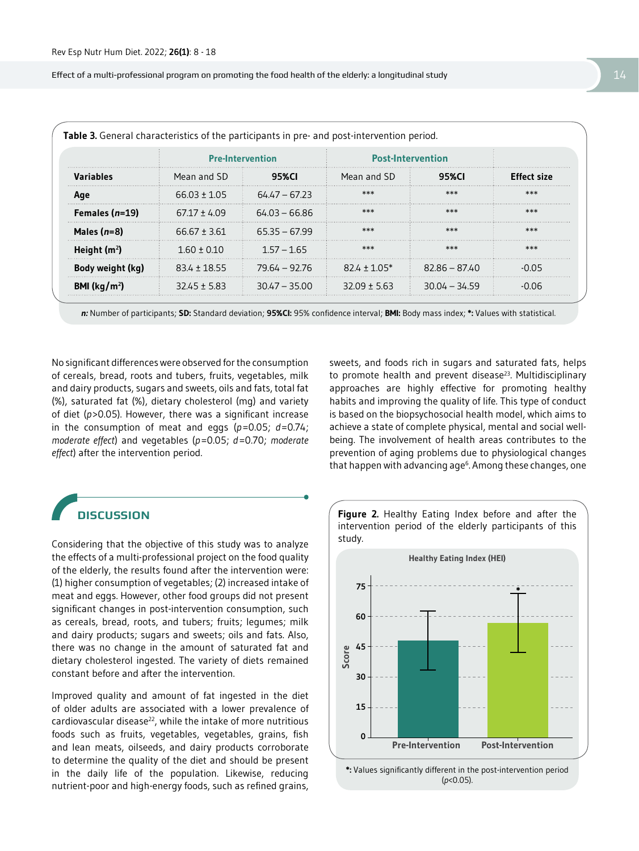Effect of a multi-professional program on promoting the food health of the elderly: a longitudinal study 14  $\,$  14  $\,$ 

| <b>Variables</b>        | <b>Pre-Intervention</b> |                 | <b>Post-Intervention</b> |                 |                    |
|-------------------------|-------------------------|-----------------|--------------------------|-----------------|--------------------|
|                         | Mean and SD             | 95%CI           | Mean and SD              | 95%CI           | <b>Fffect size</b> |
| Age                     | $66.03 + 1.05$          | $64.47 - 67.23$ | ***                      | ***             | ***                |
| Females $(n=19)$        | $67.17 + 4.09$          | $64.03 - 66.86$ | ***                      | ***             | ***                |
| Males $(n=8)$           | $66.67 \pm 3.61$        | $65.35 - 67.99$ | ***                      | ***             | ***                |
| Height $(m^2)$          | $1.60 + 0.10$           | $1.57 - 1.65$   | ***                      | ***             | $***$              |
| Body weight (kg)        | $83.4 + 18.55$          | 79.64 – 92.76   | $82.4 + 1.05*$           | $82.86 - 87.40$ | -0.05              |
| BMI ( $\text{kg/m}^2$ ) | $3245 + 5.83$           | $30.47 - 35.00$ | $32.09 + 5.63$           | $30.04 - 34.59$ | -0.06              |

**n:** Number of participants; **SD:** Standard deviation; **95%CI:** 95% confidence interval; **BMI:** Body mass index; **\*:** Values with statistical.

No significant differences were observed for the consumption of cereals, bread, roots and tubers, fruits, vegetables, milk and dairy products, sugars and sweets, oils and fats, total fat (%), saturated fat (%), dietary cholesterol (mg) and variety of diet (*p*>0.05). However, there was a significant increase in the consumption of meat and eggs (*p*=0.05; *d*=0.74; *moderate effect*) and vegetables (*p*=0.05; *d*=0.70; *moderate effect*) after the intervention period.

sweets, and foods rich in sugars and saturated fats, helps to promote health and prevent disease<sup>23</sup>. Multidisciplinary approaches are highly effective for promoting healthy habits and improving the quality of life. This type of conduct is based on the biopsychosocial health model, which aims to achieve a state of complete physical, mental and social wellbeing. The involvement of health areas contributes to the prevention of aging problems due to physiological changes that happen with advancing age<sup>6</sup>. Among these changes, one

## **DISCUSSION**

Considering that the objective of this study was to analyze the effects of a multi-professional project on the food quality of the elderly, the results found after the intervention were: (1) higher consumption of vegetables; (2) increased intake of meat and eggs. However, other food groups did not present significant changes in post-intervention consumption, such as cereals, bread, roots, and tubers; fruits; legumes; milk and dairy products; sugars and sweets; oils and fats. Also, there was no change in the amount of saturated fat and dietary cholesterol ingested. The variety of diets remained constant before and after the intervention.

Improved quality and amount of fat ingested in the diet of older adults are associated with a lower prevalence of cardiovascular disease $^{22}$ , while the intake of more nutritious foods such as fruits, vegetables, vegetables, grains, fish and lean meats, oilseeds, and dairy products corroborate to determine the quality of the diet and should be present in the daily life of the population. Likewise, reducing nutrient-poor and high-energy foods, such as refined grains, **Figure 2.** Healthy Eating Index before and after the intervention period of the elderly participants of this study.



**\*:** Values significantly different in the post-intervention period (*p*<0.05).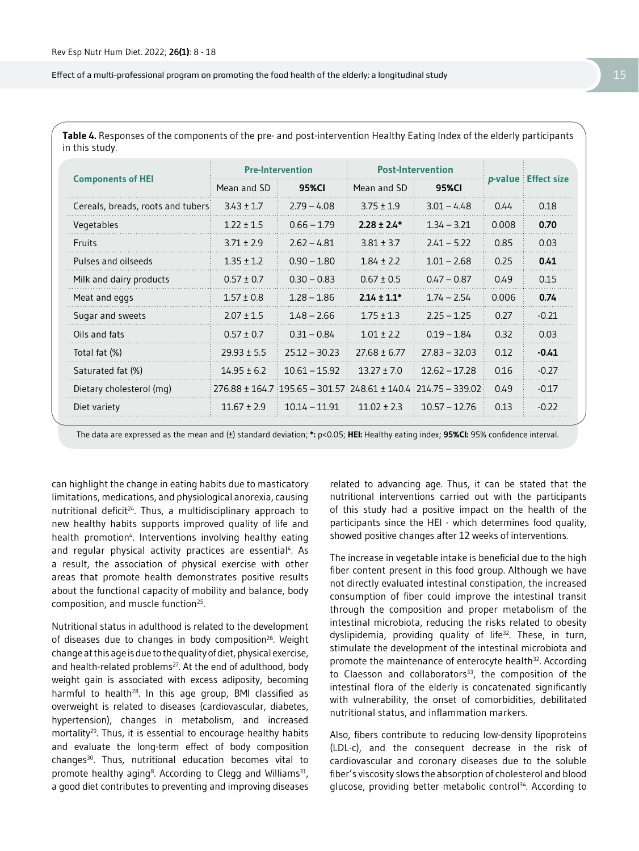Effect of a multi-professional program on promoting the food health of the elderly: a longitudinal study 15

| Table 4. Responses of the components of the pre- and post-intervention Healthy Eating Index of the elderly participants |
|-------------------------------------------------------------------------------------------------------------------------|
| in this study.                                                                                                          |

|                                   | <b>Pre-Intervention</b> |                 | <b>Post-Intervention</b> |                                                                       |       |                             |
|-----------------------------------|-------------------------|-----------------|--------------------------|-----------------------------------------------------------------------|-------|-----------------------------|
| <b>Components of HEI</b>          | Mean and SD             | 95%CI           | Mean and SD              | 95%CI                                                                 |       | <i>p</i> -value Effect size |
| Cereals, breads, roots and tubers | $3.43 \pm 1.7$          | $2.79 - 4.08$   | $3.75 + 1.9$             | $3.01 - 4.48$                                                         | 0.44  | 0.18                        |
| Vegetables                        | $1.22 \pm 1.5$          | $0.66 - 1.79$   | $2.28 \pm 2.4*$          | $1.34 - 3.21$                                                         | 0.008 | 0.70                        |
| Fruits                            | $3.71 + 2.9$            | $2.62 - 4.81$   | $3.81 \pm 3.7$           | $741 - 577$                                                           | 0.85  | 0.03                        |
| Pulses and oilseeds               | $1.35 \pm 1.2$          | $0.90 - 1.80$   | $1.84 + 2.2$             | $1.01 - 2.68$                                                         | 0.25  | 0.41                        |
| Milk and dairy products           | $0.57 \pm 0.7$          | $0.30 - 0.83$   | $0.67 \pm 0.5$           | $0.47 - 0.87$                                                         | 0.49  | 0.15                        |
| Meat and eggs                     | $1.57 \pm 0.8$          | $1.28 - 1.86$   | $2.14 \pm 1.1*$          | $1.74 - 2.54$                                                         | 0.006 | 0.74                        |
| Sugar and sweets                  | $2.07 \pm 1.5$          | $1.48 - 2.66$   | $1.75 \pm 1.3$           | $2.25 - 1.25$                                                         | 0.27  | $-0.21$                     |
| Oils and fats                     | $0.57 \pm 0.7$          | $0.31 - 0.84$   | $1.01 + 2.2$             | $0.19 - 1.84$                                                         | 0.32  | 0.03                        |
| Total fat (%)                     | $29.93 \pm 5.5$         | $25.12 - 30.23$ | $27.68 \pm 6.77$         | $77.83 - 32.03$                                                       | 0.12  | $-0.41$                     |
| Saturated fat (%)                 | $14.95 \pm 6.2$         | $10.61 - 15.92$ | $13.27 + 7.0$            | $12.62 - 17.28$                                                       | 0.16  | $-0.27$                     |
| Dietary cholesterol (mq)          |                         |                 |                          | $276.88 \pm 164.7$ 195.65 - 301.57 248.61 $\pm$ 140.4 214.75 - 339.02 | 0.49  | $-0.17$                     |
| Diet variety                      | $11.67 \pm 2.9$         | $10.14 - 11.91$ | $11.02 \pm 2.3$          | $10.57 - 12.76$                                                       | 0.13  | $-0.22$                     |

The data are expressed as the mean and (±) standard deviation; **\*:** p<0.05; **HEI:** Healthy eating index; **95%CI:** 95% confidence interval.

can highlight the change in eating habits due to masticatory limitations, medications, and physiological anorexia, causing nutritional deficit<sup>24</sup>. Thus, a multidisciplinary approach to new healthy habits supports improved quality of life and health promotion<sup>4</sup>. Interventions involving healthy eating and regular physical activity practices are essential<sup>4</sup>. As a result, the association of physical exercise with other areas that promote health demonstrates positive results about the functional capacity of mobility and balance, body composition, and muscle function25.

Nutritional status in adulthood is related to the development of diseases due to changes in body composition<sup>26</sup>. Weight change at this age is due to the quality of diet, physical exercise, and health-related problems<sup>27</sup>. At the end of adulthood, body weight gain is associated with excess adiposity, becoming harmful to health<sup>28</sup>. In this age group, BMI classified as overweight is related to diseases (cardiovascular, diabetes, hypertension), changes in metabolism, and increased mortality<sup>29</sup>. Thus, it is essential to encourage healthy habits and evaluate the long-term effect of body composition changes<sup>30</sup>. Thus, nutritional education becomes vital to promote healthy aging<sup>8</sup>. According to Clegg and Williams<sup>31</sup>, a good diet contributes to preventing and improving diseases

related to advancing age. Thus, it can be stated that the nutritional interventions carried out with the participants of this study had a positive impact on the health of the participants since the HEI - which determines food quality, showed positive changes after 12 weeks of interventions.

The increase in vegetable intake is beneficial due to the high fiber content present in this food group. Although we have not directly evaluated intestinal constipation, the increased consumption of fiber could improve the intestinal transit through the composition and proper metabolism of the intestinal microbiota, reducing the risks related to obesity dyslipidemia, providing quality of life<sup>32</sup>. These, in turn, stimulate the development of the intestinal microbiota and promote the maintenance of enterocyte health<sup>32</sup>. According to Claesson and collaborators $33$ , the composition of the intestinal flora of the elderly is concatenated significantly with vulnerability, the onset of comorbidities, debilitated nutritional status, and inflammation markers.

Also, fibers contribute to reducing low-density lipoproteins (LDL-c), and the consequent decrease in the risk of cardiovascular and coronary diseases due to the soluble fiber's viscosity slows the absorption of cholesterol and blood glucose, providing better metabolic control<sup>34</sup>. According to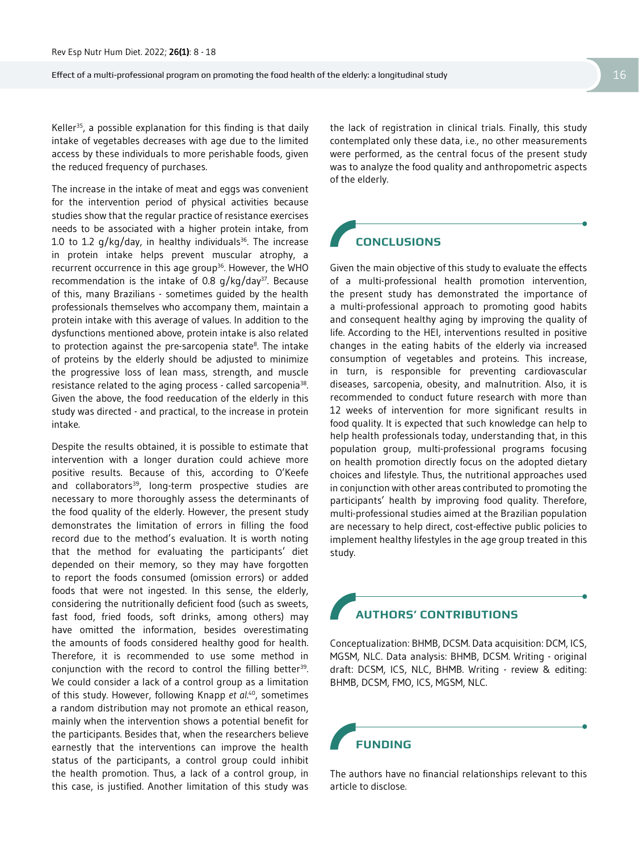Effect of a multi-professional program on promoting the food health of the elderly: a longitudinal study 16  $16$ 

Keller<sup>35</sup>, a possible explanation for this finding is that daily intake of vegetables decreases with age due to the limited access by these individuals to more perishable foods, given the reduced frequency of purchases.

The increase in the intake of meat and eggs was convenient for the intervention period of physical activities because studies show that the regular practice of resistance exercises needs to be associated with a higher protein intake, from 1.0 to 1.2  $q/kg/day$ , in healthy individuals<sup>36</sup>. The increase in protein intake helps prevent muscular atrophy, a recurrent occurrence in this age group<sup>36</sup>. However, the WHO recommendation is the intake of 0.8  $q/kg/day^{37}$ . Because of this, many Brazilians - sometimes guided by the health professionals themselves who accompany them, maintain a protein intake with this average of values. In addition to the dysfunctions mentioned above, protein intake is also related to protection against the pre-sarcopenia state<sup>8</sup>. The intake of proteins by the elderly should be adjusted to minimize the progressive loss of lean mass, strength, and muscle resistance related to the aging process - called sarcopenia<sup>38</sup>. Given the above, the food reeducation of the elderly in this study was directed - and practical, to the increase in protein intake.

Despite the results obtained, it is possible to estimate that intervention with a longer duration could achieve more positive results. Because of this, according to O'Keefe and collaborators<sup>39</sup>, long-term prospective studies are necessary to more thoroughly assess the determinants of the food quality of the elderly. However, the present study demonstrates the limitation of errors in filling the food record due to the method's evaluation. It is worth noting that the method for evaluating the participants' diet depended on their memory, so they may have forgotten to report the foods consumed (omission errors) or added foods that were not ingested. In this sense, the elderly, considering the nutritionally deficient food (such as sweets, fast food, fried foods, soft drinks, among others) may have omitted the information, besides overestimating the amounts of foods considered healthy good for health. Therefore, it is recommended to use some method in conjunction with the record to control the filling better<sup>39</sup>. We could consider a lack of a control group as a limitation of this study. However, following Knapp *et al*. 40, sometimes a random distribution may not promote an ethical reason, mainly when the intervention shows a potential benefit for the participants. Besides that, when the researchers believe earnestly that the interventions can improve the health status of the participants, a control group could inhibit the health promotion. Thus, a lack of a control group, in this case, is justified. Another limitation of this study was

the lack of registration in clinical trials. Finally, this study contemplated only these data, i.e., no other measurements were performed, as the central focus of the present study was to analyze the food quality and anthropometric aspects of the elderly.

## **CONCLUSIONS**

Given the main objective of this study to evaluate the effects of a multi-professional health promotion intervention, the present study has demonstrated the importance of a multi-professional approach to promoting good habits and consequent healthy aging by improving the quality of life. According to the HEI, interventions resulted in positive changes in the eating habits of the elderly via increased consumption of vegetables and proteins. This increase, in turn, is responsible for preventing cardiovascular diseases, sarcopenia, obesity, and malnutrition. Also, it is recommended to conduct future research with more than 12 weeks of intervention for more significant results in food quality. It is expected that such knowledge can help to help health professionals today, understanding that, in this population group, multi-professional programs focusing on health promotion directly focus on the adopted dietary choices and lifestyle. Thus, the nutritional approaches used in conjunction with other areas contributed to promoting the participants' health by improving food quality. Therefore, multi-professional studies aimed at the Brazilian population are necessary to help direct, cost-effective public policies to implement healthy lifestyles in the age group treated in this study.

## **AUTHORS' CONTRIBUTIONS**

Conceptualization: BHMB, DCSM. Data acquisition: DCM, ICS, MGSM, NLC. Data analysis: BHMB, DCSM. Writing - original draft: DCSM, ICS, NLC, BHMB. Writing - review & editing: BHMB, DCSM, FMO, ICS, MGSM, NLC.

**FUNDING**

The authors have no financial relationships relevant to this article to disclose.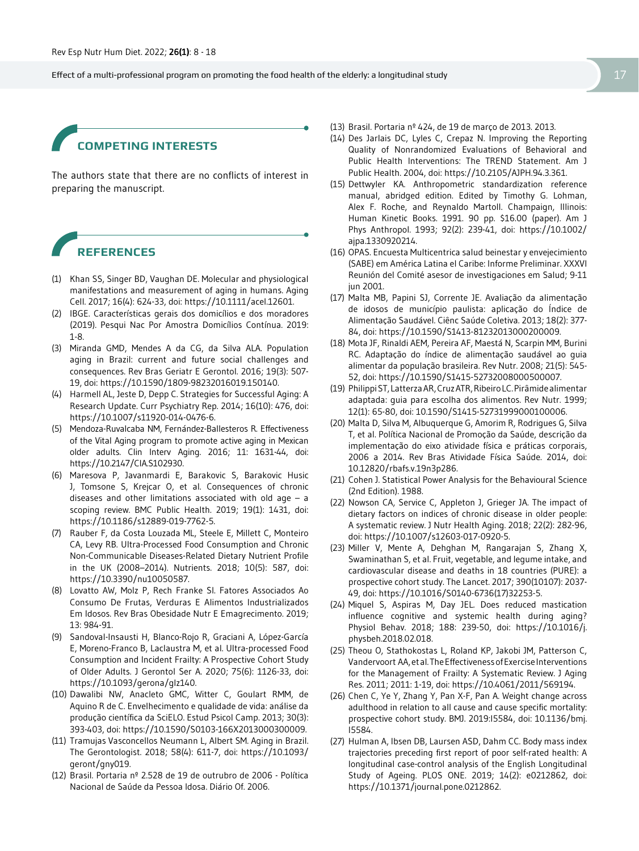Effect of a multi-professional program on promoting the food health of the elderly: a longitudinal study 17 and 17 and 17 and 17 and 17 and 17 and 17 and 17 and 17 and 17 and 17 and 17 and 17 and 17 and 17 and 17 and 17 an

### **COMPETING INTERESTS**

The authors state that there are no conflicts of interest in preparing the manuscript.

## **REFERENCES**

- (1) Khan SS, Singer BD, Vaughan DE. Molecular and physiological manifestations and measurement of aging in humans. Aging Cell. 2017; 16(4): 624-33, doi: https://10.1111/acel.12601.
- (2) IBGE. Características gerais dos domicílios e dos moradores (2019). Pesqui Nac Por Amostra Domicílios Contínua. 2019: 1-8.
- (3) Miranda GMD, Mendes A da CG, da Silva ALA. Population aging in Brazil: current and future social challenges and consequences. Rev Bras Geriatr E Gerontol. 2016; 19(3): 507- 19, doi: https://10.1590/1809-98232016019.150140.
- (4) Harmell AL, Jeste D, Depp C. Strategies for Successful Aging: A Research Update. Curr Psychiatry Rep. 2014; 16(10): 476, doi: https://10.1007/s11920-014-0476-6.
- (5) Mendoza-Ruvalcaba NM, Fernández-Ballesteros R. Effectiveness of the Vital Aging program to promote active aging in Mexican older adults. Clin Interv Aging. 2016; 11: 1631-44, doi: https://10.2147/CIA.S102930.
- (6) Maresova P, Javanmardi E, Barakovic S, Barakovic Husic J, Tomsone S, Krejcar O, et al. Consequences of chronic diseases and other limitations associated with old age  $-$  a scoping review. BMC Public Health. 2019; 19(1): 1431, doi: https://10.1186/s12889-019-7762-5.
- (7) Rauber F, da Costa Louzada ML, Steele E, Millett C, Monteiro CA, Levy RB. Ultra-Processed Food Consumption and Chronic Non-Communicable Diseases-Related Dietary Nutrient Profile in the UK (2008–2014). Nutrients. 2018; 10(5): 587, doi: https://10.3390/nu10050587.
- (8) Lovatto AW, Molz P, Rech Franke SI. Fatores Associados Ao Consumo De Frutas, Verduras E Alimentos Industrializados Em Idosos. Rev Bras Obesidade Nutr E Emagrecimento. 2019; 13: 984-91.
- (9) Sandoval-Insausti H, Blanco-Rojo R, Graciani A, López-García E, Moreno-Franco B, Laclaustra M, et al. Ultra-processed Food Consumption and Incident Frailty: A Prospective Cohort Study of Older Adults. J Gerontol Ser A. 2020; 75(6): 1126-33, doi: https://10.1093/gerona/glz140.
- (10) Dawalibi NW, Anacleto GMC, Witter C, Goulart RMM, de Aquino R de C. Envelhecimento e qualidade de vida: análise da produção científica da SciELO. Estud Psicol Camp. 2013; 30(3): 393-403, doi: https://10.1590/S0103-166X2013000300009.
- (11) Tramujas Vasconcellos Neumann L, Albert SM. Aging in Brazil. The Gerontologist. 2018; 58(4): 611-7, doi: https://10.1093/ geront/gny019.
- (12) Brasil. Portaria nº 2.528 de 19 de outrubro de 2006 Política Nacional de Saúde da Pessoa Idosa. Diário Of. 2006.
- (13) Brasil. Portaria nº 424, de 19 de março de 2013. 2013.
- (14) Des Jarlais DC, Lyles C, Crepaz N. Improving the Reporting Quality of Nonrandomized Evaluations of Behavioral and Public Health Interventions: The TREND Statement. Am J Public Health. 2004, doi: https://10.2105/AJPH.94.3.361.
- (15) Dettwyler KA. Anthropometric standardization reference manual, abridged edition. Edited by Timothy G. Lohman, Alex F. Roche, and Reynaldo Martoll. Champaign, Illinois: Human Kinetic Books. 1991. 90 pp. \$16.00 (paper). Am J Phys Anthropol. 1993; 92(2): 239-41, doi: https://10.1002/ ajpa.1330920214.
- (16) OPAS. Encuesta Multicentrica salud beinestar y envejecimiento (SABE) em América Latina el Caribe: Informe Preliminar. XXXVI Reunión del Comité asesor de investigaciones em Salud; 9-11 jun 2001.
- (17) Malta MB, Papini SJ, Corrente JE. Avaliação da alimentação de idosos de município paulista: aplicação do Índice de Alimentação Saudável. Ciênc Saúde Coletiva. 2013; 18(2): 377- 84, doi: https://10.1590/S1413-81232013000200009.
- (18) Mota JF, Rinaldi AEM, Pereira AF, Maestá N, Scarpin MM, Burini RC. Adaptação do índice de alimentação saudável ao guia alimentar da população brasileira. Rev Nutr. 2008; 21(5): 545- 52, doi: https://10.1590/S1415-52732008000500007.
- (19) Philippi ST, Latterza AR, Cruz ATR, Ribeiro LC. Pirâmide alimentar adaptada: guia para escolha dos alimentos. Rev Nutr. 1999; 12(1): 65-80, doi: 10.1590/S1415-52731999000100006.
- (20) Malta D, Silva M, Albuquerque G, Amorim R, Rodrigues G, Silva T, et al. Política Nacional de Promoção da Saúde, descrição da implementação do eixo atividade física e práticas corporais, 2006 a 2014. Rev Bras Atividade Física Saúde. 2014, doi: 10.12820/rbafs.v.19n3p286.
- (21) Cohen J. Statistical Power Analysis for the Behavioural Science (2nd Edition). 1988.
- (22) Nowson CA, Service C, Appleton J, Grieger JA. The impact of dietary factors on indices of chronic disease in older people: A systematic review. J Nutr Health Aging. 2018; 22(2): 282-96, doi: https://10.1007/s12603-017-0920-5.
- (23) Miller V, Mente A, Dehghan M, Rangarajan S, Zhang X, Swaminathan S, et al. Fruit, vegetable, and legume intake, and cardiovascular disease and deaths in 18 countries (PURE): a prospective cohort study. The Lancet. 2017; 390(10107): 2037- 49, doi: https://10.1016/S0140-6736(17)32253-5.
- (24) Miquel S, Aspiras M, Day JEL. Does reduced mastication influence cognitive and systemic health during aging? Physiol Behav. 2018; 188: 239-50, doi: https://10.1016/j. physbeh.2018.02.018.
- (25) Theou O, Stathokostas L, Roland KP, Jakobi JM, Patterson C, Vandervoort AA, et al. The Effectiveness of Exercise Interventions for the Management of Frailty: A Systematic Review. J Aging Res. 2011; 2011: 1-19, doi: https://10.4061/2011/569194.
- (26) Chen C, Ye Y, Zhang Y, Pan X-F, Pan A. Weight change across adulthood in relation to all cause and cause specific mortality: prospective cohort study. BMJ. 2019:l5584, doi: 10.1136/bmj. l5584.
- (27) Hulman A, Ibsen DB, Laursen ASD, Dahm CC. Body mass index trajectories preceding first report of poor self-rated health: A longitudinal case-control analysis of the English Longitudinal Study of Ageing. PLOS ONE. 2019; 14(2): e0212862, doi: https://10.1371/journal.pone.0212862.